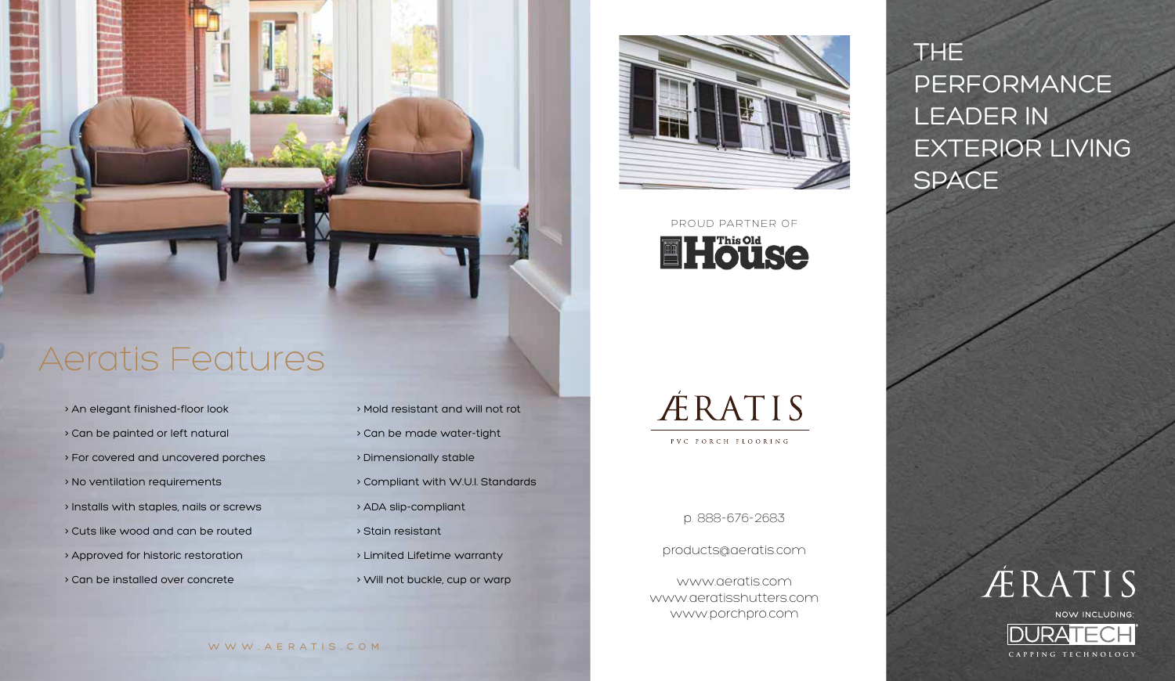Aeratis Features

- > An elegant finished-floor look
- > Can be painted or left natural
- > For covered and uncovered porches
- > No ventilation requirements
- > Installs with staples, nails or screws
- > Cuts like wood and can be routed
- > Approved for historic restoration
- > Can be installed over concrete

> Mold resistant and will not rot > Can be made water-tight > Dimensionally stable > Compliant with W.U.I. Standards > ADA slip-compliant > Stain resistant > Limited Lifetime warranty > Will not buckle, cup or warp



PROUD PARTNER OF



**ÆRATIS** 

PVC PORCH FLOORING

p. 888-676-2683

products@aeratis.com

www.aeratis.com www.aeratisshutters.com www.porchpro.com

THE PERFORMANCE LEADER IN EXTERIOR LIVING SPACE

**CAPPING TECHNOLOGY**

**ÆRATIS** 

NOW INCLUDING: